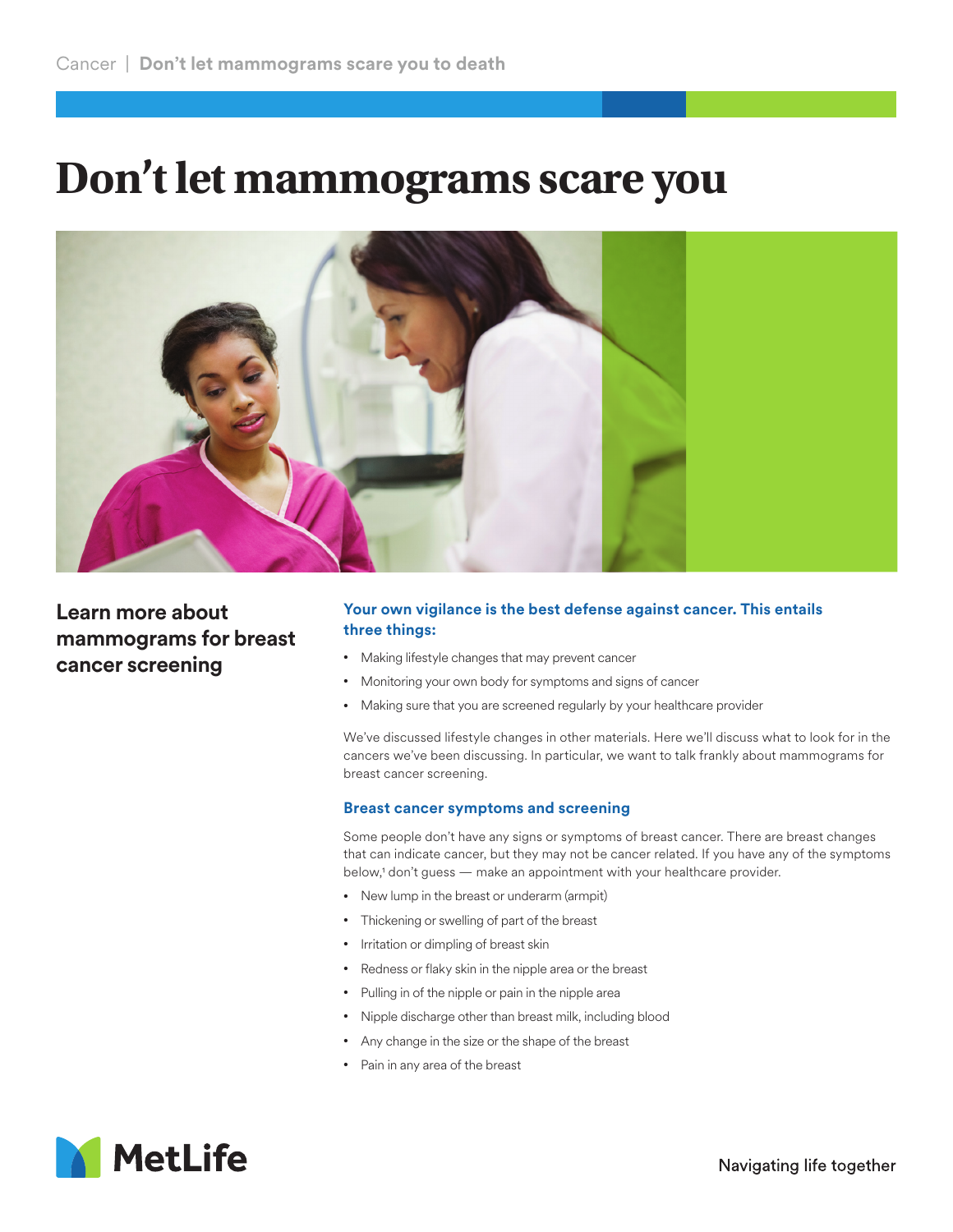## **Don't let mammograms scare you**



## **Learn more about mammograms for breast cancer screening**

## **Your own vigilance is the best defense against cancer. This entails three things:**

- Making lifestyle changes that may prevent cancer
- Monitoring your own body for symptoms and signs of cancer
- Making sure that you are screened regularly by your healthcare provider

We've discussed lifestyle changes in other materials. Here we'll discuss what to look for in the cancers we've been discussing. In particular, we want to talk frankly about mammograms for breast cancer screening.

## **Breast cancer symptoms and screening**

Some people don't have any signs or symptoms of breast cancer. There are breast changes that can indicate cancer, but they may not be cancer related. If you have any of the symptoms below,<sup>1</sup> don't guess — make an appointment with your healthcare provider.

- New lump in the breast or underarm (armpit)
- Thickening or swelling of part of the breast
- Irritation or dimpling of breast skin
- Redness or flaky skin in the nipple area or the breast
- Pulling in of the nipple or pain in the nipple area
- Nipple discharge other than breast milk, including blood
- Any change in the size or the shape of the breast
- Pain in any area of the breast